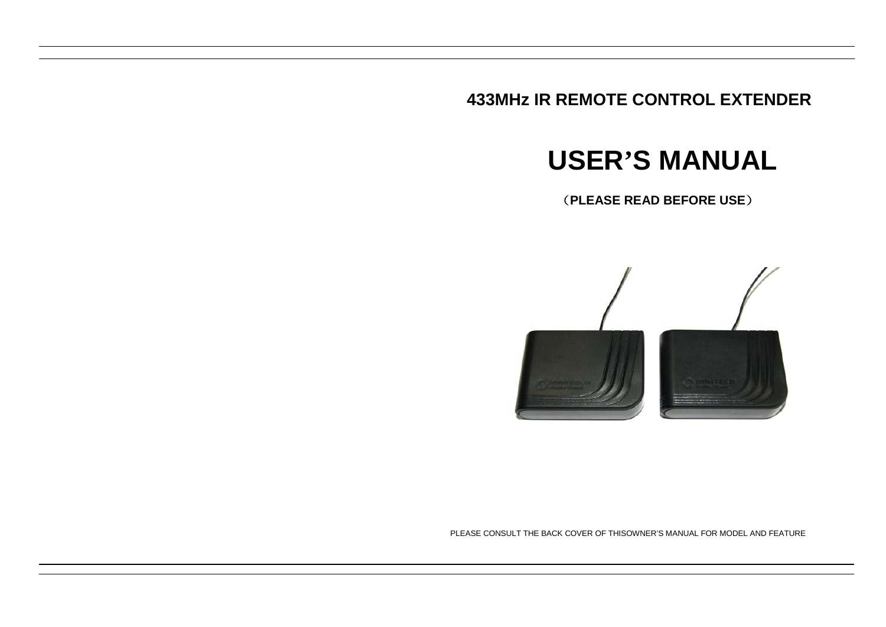**433MHz IR REMOTE CONTROL EXTENDER**

# **USER'S MANUAL**

(**PLEASE READ BEFORE USE**)



PLEASE CONSULT THE BACK COVER OF THISOWNER'S MANUAL FOR MODEL AND FEATURE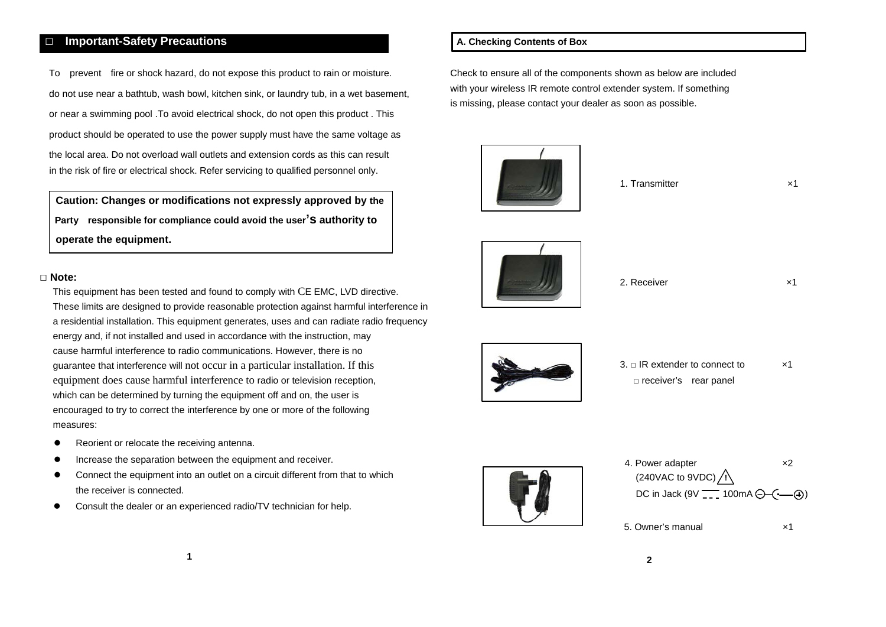## **□ Important-Safety Precautions**

To prevent fire or shock hazard, do not expose this product to rain or moisture. do not use near a bathtub, wash bowl, kitchen sink, or laundry tub, in a wet basement, or near a swimming pool .To avoid electrical shock, do not open this product . This product should be operated to use the power supply must have the same voltage as the local area. Do not overload wall outlets and extension cords as this can result in the risk of fire or electrical shock. Refer servicing to qualified personnel only.

**Caution: Changes or modifications not expressly approved by the Party responsible for compliance could avoid the user's authority to operate the equipment.**

#### **□ Note:**

This equipment has been tested and found to comply with CE EMC, LVD directive. These limits are designed to provide reasonable protection against harmful interference in a residential installation. This equipment generates, uses and can radiate radio frequency energy and, if not installed and used in accordance with the instruction, may cause harmful interference to radio communications. However, there is no guarantee that interference will not occur in a particular installation. If this equipment does cause harmful interference to radio or television reception, which can be determined by turning the equipment off and on, the user is encouraged to try to correct the interference by one or more of the following measures:

- Reorient or relocate the receiving antenna.
- Increase the separation between the equipment and receiver.
- Connect the equipment into an outlet on a circuit different from that to which the receiver is connected.
- Consult the dealer or an experienced radio/TV technician for help.

#### **A. Checking Contents of Box**

Check to ensure all of the components shown as below are included with your wireless IR remote control extender system. If something is missing, please contact your dealer as soon as possible.

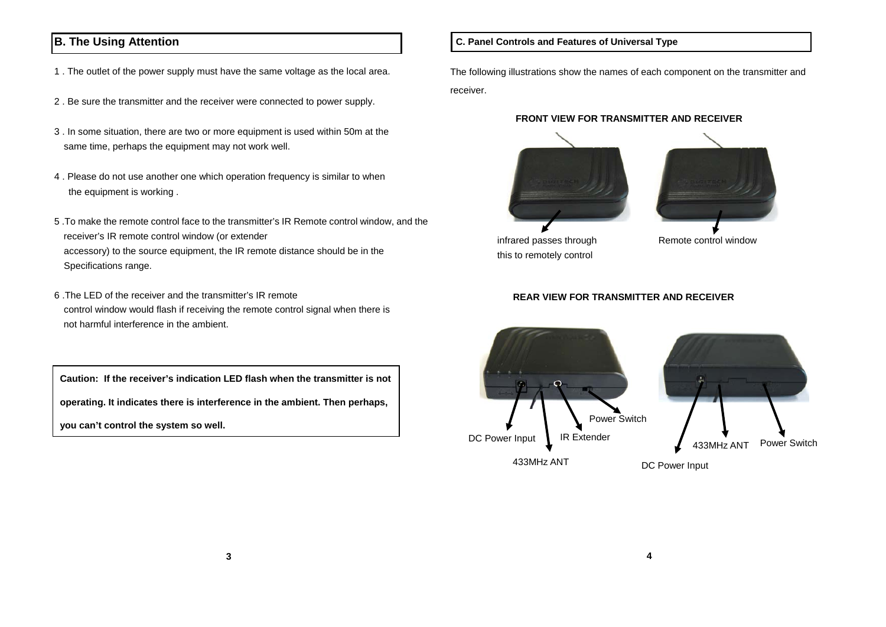## **B. The Using Attention**

- 1 . The outlet of the power supply must have the same voltage as the local area.
- 2 . Be sure the transmitter and the receiver were connected to power supply.
- 3 . In some situation, there are two or more equipment is used within 50m at the same time, perhaps the equipment may not work well.
- 4 . Please do not use another one which operation frequency is similar to when the equipment is working .
- 5 .To make the remote control face to the transmitter's IR Remote control window, and the receiver's IR remote control window (or extender accessory) to the source equipment, the IR remote distance should be in the Specifications range.
- 6 .The LED of the receiver and the transmitter's IR remote control window would flash if receiving the remote control signal when there is not harmful interference in the ambient.

**Caution: If the receiver's indication LED flash when the transmitter is not operating. It indicates there is interference in the ambient. Then perhaps, you can't control the system so well.**

#### **C. Panel Controls and Features of Universal Type**

The following illustrations show the names of each component on the transmitter and receiver.

#### **FRONT VIEW FOR TRANSMITTER AND RECEIVER**





infrared passes through Remote control window this to remotely control



#### **REAR VIEW FOR TRANSMITTER AND RECEIVER**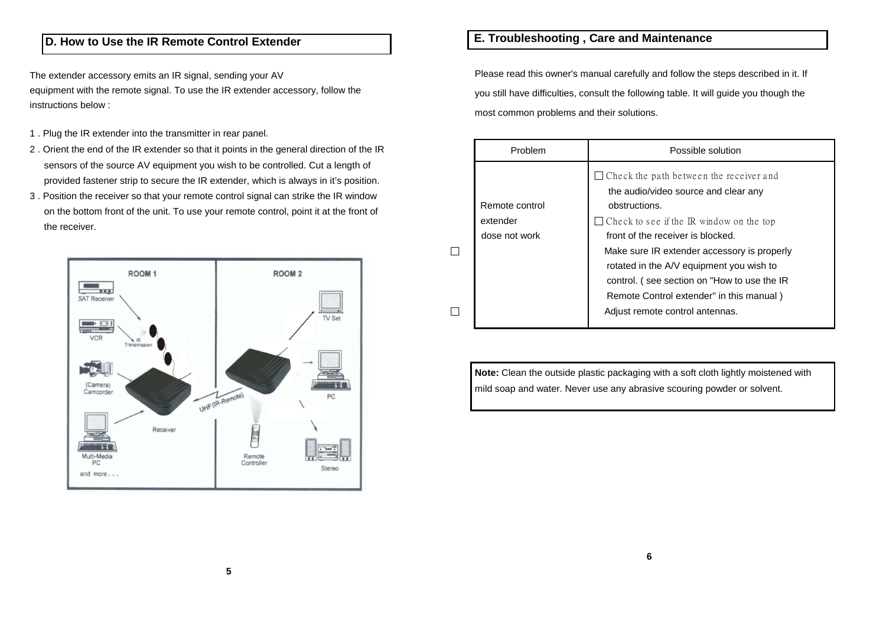## **D. How to Use the IR Remote Control Extender**

The extender accessory emits an IR signal, sending your AV equipment with the remote signal. To use the IR extender accessory, follow the instructions below :

- 1 . Plug the IR extender into the transmitter in rear panel.
- 2 . Orient the end of the IR extender so that it points in the general direction of the IR sensors of the source AV equipment you wish to be controlled. Cut a length of provided fastener strip to secure the IR extender, which is always in it's position.
- 3 . Position the receiver so that your remote control signal can strike the IR window on the bottom front of the unit. To use your remote control, point it at the front of the receiver.



## **E. Troubleshooting , Care and Maintenance**

Please read this owner's manual carefully and follow the steps described in it. If you still have difficulties, consult the following table. It will guide you though the most common problems and their solutions.

|        | Problem        | Possible solution                               |
|--------|----------------|-------------------------------------------------|
|        |                | $\Box$ Check the path between the receiver and  |
|        |                | the audio/video source and clear any            |
|        | Remote control | obstructions.                                   |
|        | extender       | $\Box$ Check to see if the IR window on the top |
|        | dose not work  | front of the receiver is blocked.               |
| $\Box$ |                | Make sure IR extender accessory is properly     |
|        |                | rotated in the A/V equipment you wish to        |
|        |                | control. (see section on "How to use the IR     |
|        |                | Remote Control extender" in this manual)        |
| $\Box$ |                | Adjust remote control antennas.                 |
|        |                |                                                 |

**Note:** Clean the outside plastic packaging with a soft cloth lightly moistened with mild soap and water. Never use any abrasive scouring powder or solvent.